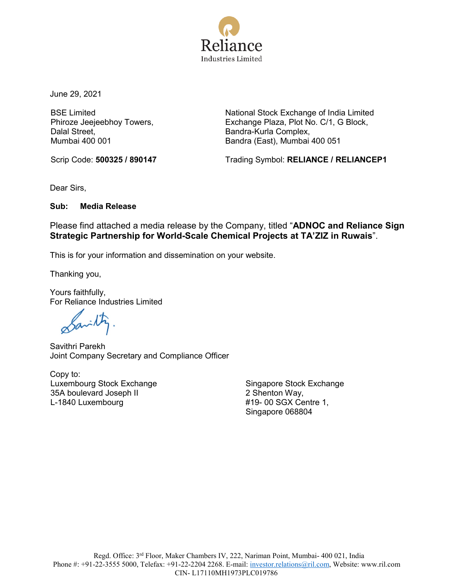

June 29, 2021

BSE Limited Phiroze Jeejeebhoy Towers, Dalal Street, Mumbai 400 001

National Stock Exchange of India Limited Exchange Plaza, Plot No. C/1, G Block, Bandra-Kurla Complex, Bandra (East), Mumbai 400 051

Scrip Code: **500325 / 890147** Trading Symbol: **RELIANCE / RELIANCEP1** 

Dear Sirs,

**Sub: Media Release**

Please find attached a media release by the Company, titled "**ADNOC and Reliance Sign Strategic Partnership for World-Scale Chemical Projects at TA'ZIZ in Ruwais**".

This is for your information and dissemination on your website.

Thanking you,

Yours faithfully, For Reliance Industries Limited

Carilty

Savithri Parekh Joint Company Secretary and Compliance Officer

Copy to: Luxembourg Stock Exchange 35A boulevard Joseph II L-1840 Luxembourg

Singapore Stock Exchange 2 Shenton Way, #19- 00 SGX Centre 1, Singapore 068804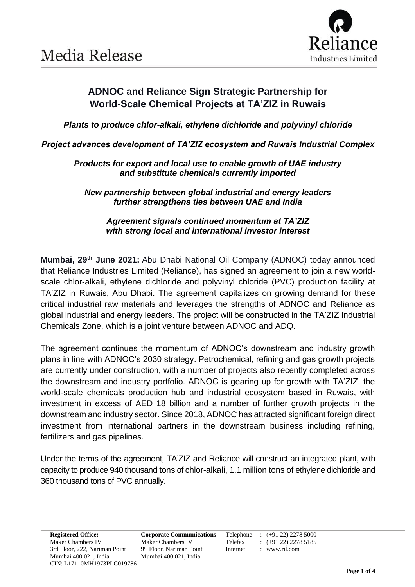

## **ADNOC and Reliance Sign Strategic Partnership for World-Scale Chemical Projects at TA'ZIZ in Ruwais**

*Plants to produce chlor-alkali, ethylene dichloride and polyvinyl chloride*

*Project advances development of TA'ZIZ ecosystem and Ruwais Industrial Complex*

*Products for export and local use to enable growth of UAE industry and substitute chemicals currently imported*

*New partnership between global industrial and energy leaders further strengthens ties between UAE and India*

*Agreement signals continued momentum at TA'ZIZ with strong local and international investor interest*

**Mumbai, 29th June 2021:** Abu Dhabi National Oil Company (ADNOC) today announced that Reliance Industries Limited (Reliance), has signed an agreement to join a new worldscale chlor-alkali, ethylene dichloride and polyvinyl chloride (PVC) production facility at TA'ZIZ in Ruwais, Abu Dhabi. The agreement capitalizes on growing demand for these critical industrial raw materials and leverages the strengths of ADNOC and Reliance as global industrial and energy leaders. The project will be constructed in the TA'ZIZ Industrial Chemicals Zone, which is a joint venture between ADNOC and ADQ.

The agreement continues the momentum of ADNOC's downstream and industry growth plans in line with ADNOC's 2030 strategy. Petrochemical, refining and gas growth projects are currently under construction, with a number of projects also recently completed across the downstream and industry portfolio. ADNOC is gearing up for growth with TA'ZIZ, the world-scale chemicals production hub and industrial ecosystem based in Ruwais, with investment in excess of AED 18 billion and a number of further growth projects in the downstream and industry sector. Since 2018, ADNOC has attracted significant foreign direct investment from international partners in the downstream business including refining, fertilizers and gas pipelines.

Under the terms of the agreement, TA'ZIZ and Reliance will construct an integrated plant, with capacity to produce 940 thousand tons of chlor-alkali, 1.1 million tons of ethylene dichloride and 360 thousand tons of PVC annually.

9<sup>th</sup> Floor, Nariman Point Internet : www.ril.com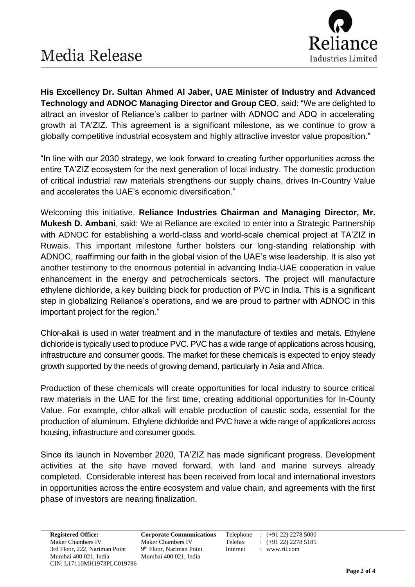

**His Excellency Dr. Sultan Ahmed Al Jaber, UAE Minister of Industry and Advanced Technology and ADNOC Managing Director and Group CEO**, said: "We are delighted to attract an investor of Reliance's caliber to partner with ADNOC and ADQ in accelerating growth at TA'ZIZ. This agreement is a significant milestone, as we continue to grow a globally competitive industrial ecosystem and highly attractive investor value proposition."

"In line with our 2030 strategy, we look forward to creating further opportunities across the entire TA'ZIZ ecosystem for the next generation of local industry. The domestic production of critical industrial raw materials strengthens our supply chains, drives In-Country Value and accelerates the UAE's economic diversification."

Welcoming this initiative, **Reliance Industries Chairman and Managing Director, Mr. Mukesh D. Ambani**, said: We at Reliance are excited to enter into a Strategic Partnership with ADNOC for establishing a world-class and world-scale chemical project at TA'ZIZ in Ruwais. This important milestone further bolsters our long-standing relationship with ADNOC, reaffirming our faith in the global vision of the UAE's wise leadership. It is also yet another testimony to the enormous potential in advancing India-UAE cooperation in value enhancement in the energy and petrochemicals sectors. The project will manufacture ethylene dichloride, a key building block for production of PVC in India. This is a significant step in globalizing Reliance's operations, and we are proud to partner with ADNOC in this important project for the region."

Chlor-alkali is used in water treatment and in the manufacture of textiles and metals. Ethylene dichloride is typically used to produce PVC. PVC has a wide range of applications across housing, infrastructure and consumer goods. The market for these chemicals is expected to enjoy steady growth supported by the needs of growing demand, particularly in Asia and Africa.

Production of these chemicals will create opportunities for local industry to source critical raw materials in the UAE for the first time, creating additional opportunities for In-County Value. For example, chlor-alkali will enable production of caustic soda, essential for the production of aluminum. Ethylene dichloride and PVC have a wide range of applications across housing, infrastructure and consumer goods.

Since its launch in November 2020, TA'ZIZ has made significant progress. Development activities at the site have moved forward, with land and marine surveys already completed. Considerable interest has been received from local and international investors in opportunities across the entire ecosystem and value chain, and agreements with the first phase of investors are nearing finalization.

9<sup>th</sup> Floor, Nariman Point Internet : www.ril.com

**Registered Office: Corporate Communications** Telephone : (+91 22) 2278 5000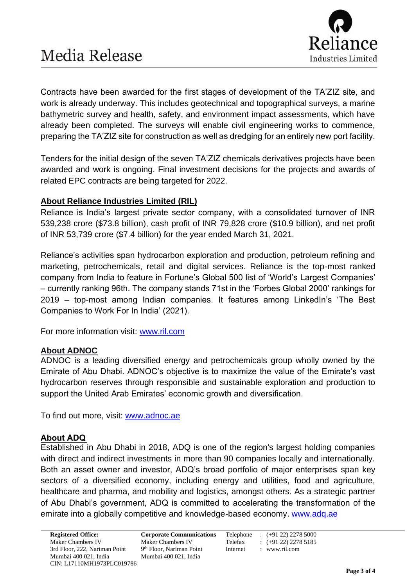

Contracts have been awarded for the first stages of development of the TA'ZIZ site, and work is already underway. This includes geotechnical and topographical surveys, a marine bathymetric survey and health, safety, and environment impact assessments, which have already been completed. The surveys will enable civil engineering works to commence, preparing the TA'ZIZ site for construction as well as dredging for an entirely new port facility.

Tenders for the initial design of the seven TA'ZIZ chemicals derivatives projects have been awarded and work is ongoing. Final investment decisions for the projects and awards of related EPC contracts are being targeted for 2022.

#### **About Reliance Industries Limited (RIL)**

Reliance is India's largest private sector company, with a consolidated turnover of INR 539,238 crore (\$73.8 billion), cash profit of INR 79,828 crore (\$10.9 billion), and net profit of INR 53,739 crore (\$7.4 billion) for the year ended March 31, 2021.

Reliance's activities span hydrocarbon exploration and production, petroleum refining and marketing, petrochemicals, retail and digital services. Reliance is the top-most ranked company from India to feature in Fortune's Global 500 list of 'World's Largest Companies' – currently ranking 96th. The company stands 71st in the 'Forbes Global 2000' rankings for 2019 – top-most among Indian companies. It features among LinkedIn's 'The Best Companies to Work For In India' (2021).

For more information visit: [www.ril.com](http://www.ril.com/)

#### **About ADNOC**

ADNOC is a leading diversified energy and petrochemicals group wholly owned by the Emirate of Abu Dhabi. ADNOC's objective is to maximize the value of the Emirate's vast hydrocarbon reserves through responsible and sustainable exploration and production to support the United Arab Emirates' economic growth and diversification.

To find out more, visit: [www.adnoc.ae](http://www.adnoc.ae/)

#### **About ADQ**

Established in Abu Dhabi in 2018, ADQ is one of the region's largest holding companies with direct and indirect investments in more than 90 companies locally and internationally. Both an asset owner and investor, ADQ's broad portfolio of major enterprises span key sectors of a diversified economy, including energy and utilities, food and agriculture, healthcare and pharma, and mobility and logistics, amongst others. As a strategic partner of Abu Dhabi's government, ADQ is committed to accelerating the transformation of the emirate into a globally competitive and knowledge-based economy. [www.adq.ae](http://www.adq.ae/)

**Registered Office: Corporate Communications** Telephone : (+91 22) 2278 5000 9<sup>th</sup> Floor, Nariman Point Internet : www.ril.com